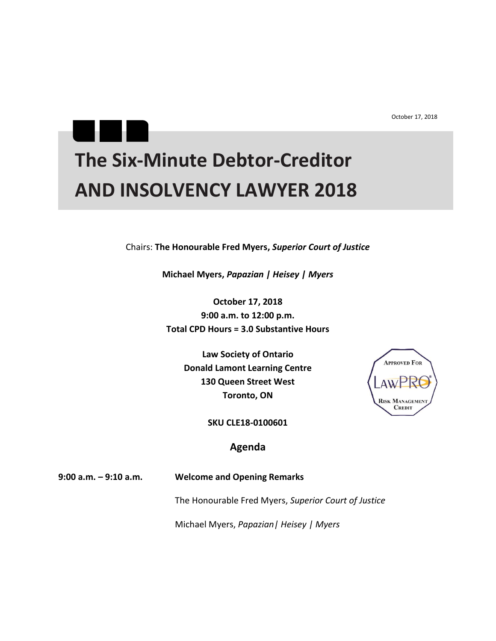October 17, 2018

## **The Six-Minute Debtor-Creditor AND INSOLVENCY LAWYER 2018**

Chairs: **The Honourable Fred Myers,** *Superior Court of Justice*

**Michael Myers,** *Papazian | Heisey | Myers*

**October 17, 2018 9:00 a.m. to 12:00 p.m. Total CPD Hours = 3.0 Substantive Hours**

> **Law Society of Ontario Donald Lamont Learning Centre 130 Queen Street West Toronto, ON**



**SKU CLE18-0100601**

## **Agenda**

**9:00 a.m. – 9:10 a.m. Welcome and Opening Remarks**

٠

Н

The Honourable Fred Myers, *Superior Court of Justice*

Michael Myers, *Papazian| Heisey | Myers*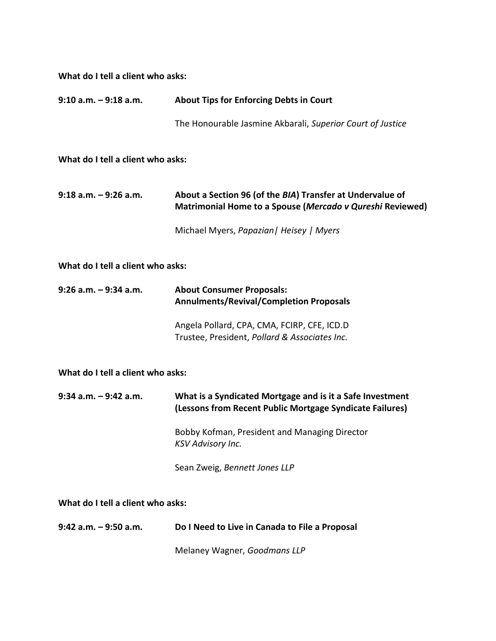**What do I tell a client who asks:**

| $9:10$ a.m. $-9:18$ a.m.          | <b>About Tips for Enforcing Debts in Court</b>                                                                         |  |
|-----------------------------------|------------------------------------------------------------------------------------------------------------------------|--|
|                                   | The Honourable Jasmine Akbarali, Superior Court of Justice                                                             |  |
| What do I tell a client who asks: |                                                                                                                        |  |
| $9:18$ a.m. $-9:26$ a.m.          | About a Section 96 (of the BIA) Transfer at Undervalue of<br>Matrimonial Home to a Spouse (Mercado v Qureshi Reviewed) |  |
|                                   | Michael Myers, Papazian   Heisey   Myers                                                                               |  |
| What do I tell a client who asks: |                                                                                                                        |  |
| 9:26 a.m. - 9:34 a.m.             | <b>About Consumer Proposals:</b><br><b>Annulments/Revival/Completion Proposals</b>                                     |  |
|                                   | Angela Pollard, CPA, CMA, FCIRP, CFE, ICD.D<br>Trustee, President, Pollard & Associates Inc.                           |  |
| What do I tell a client who asks: |                                                                                                                        |  |
| $9:34$ a.m. $-9:42$ a.m.          | What is a Syndicated Mortgage and is it a Safe Investment<br>(Lessons from Recent Public Mortgage Syndicate Failures)  |  |
|                                   | Bobby Kofman, President and Managing Director<br><b>KSV Advisory Inc.</b>                                              |  |
|                                   | Sean Zweig, Bennett Jones LLP                                                                                          |  |
| What do I tell a client who asks: |                                                                                                                        |  |
| $9:42$ a.m. $-9:50$ a.m.          | Do I Need to Live in Canada to File a Proposal                                                                         |  |

Melaney Wagner, *Goodmans LLP*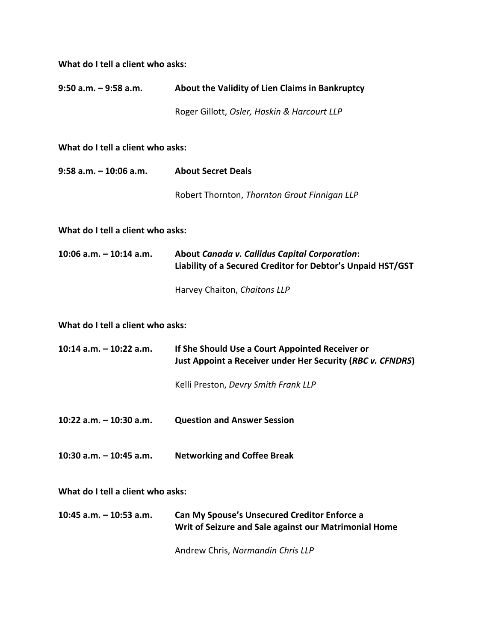| What do I tell a client who asks: |                                                                                                               |  |
|-----------------------------------|---------------------------------------------------------------------------------------------------------------|--|
| $9:50$ a.m. $-9:58$ a.m.          | About the Validity of Lien Claims in Bankruptcy                                                               |  |
|                                   | Roger Gillott, Osler, Hoskin & Harcourt LLP                                                                   |  |
| What do I tell a client who asks: |                                                                                                               |  |
| $9:58$ a.m. $-10:06$ a.m.         | <b>About Secret Deals</b>                                                                                     |  |
|                                   | Robert Thornton, Thornton Grout Finnigan LLP                                                                  |  |
| What do I tell a client who asks: |                                                                                                               |  |
| 10:06 a.m. $-$ 10:14 a.m.         | About Canada v. Callidus Capital Corporation:<br>Liability of a Secured Creditor for Debtor's Unpaid HST/GST  |  |
|                                   | Harvey Chaiton, Chaitons LLP                                                                                  |  |
| What do I tell a client who asks: |                                                                                                               |  |
| 10:14 $a.m. - 10:22 a.m.$         | If She Should Use a Court Appointed Receiver or<br>Just Appoint a Receiver under Her Security (RBC v. CFNDRS) |  |
|                                   | Kelli Preston, Devry Smith Frank LLP                                                                          |  |
| 10:22 a.m. - 10:30 a.m.           | <b>Question and Answer Session</b>                                                                            |  |
| 10:30 a.m. $-$ 10:45 a.m.         | <b>Networking and Coffee Break</b>                                                                            |  |
| What do I tell a client who asks: |                                                                                                               |  |
| 10:45 a.m. $-$ 10:53 a.m.         | <b>Can My Spouse's Unsecured Creditor Enforce a</b><br>Writ of Seizure and Sale against our Matrimonial Home  |  |
|                                   | Andrew Chris, Normandin Chris LLP                                                                             |  |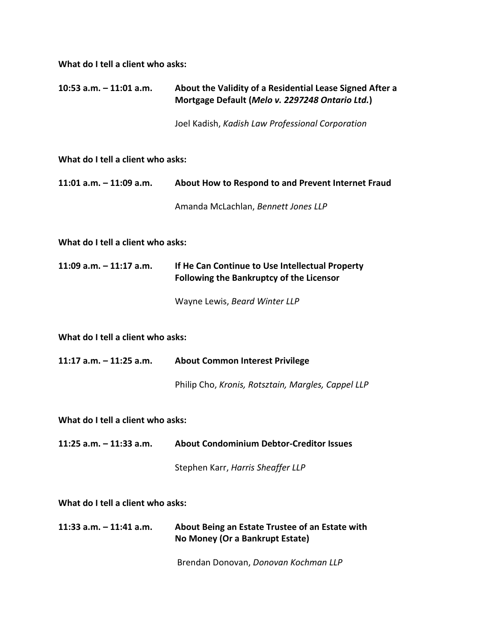**What do I tell a client who asks:**

| $10:53$ a.m. $-11:01$ a.m.        | About the Validity of a Residential Lease Signed After a<br>Mortgage Default (Melo v. 2297248 Ontario Ltd.) |  |
|-----------------------------------|-------------------------------------------------------------------------------------------------------------|--|
|                                   | Joel Kadish, Kadish Law Professional Corporation                                                            |  |
| What do I tell a client who asks: |                                                                                                             |  |
| $11:01$ a.m. $-11:09$ a.m.        | About How to Respond to and Prevent Internet Fraud                                                          |  |
|                                   | Amanda McLachlan, Bennett Jones LLP                                                                         |  |
| What do I tell a client who asks: |                                                                                                             |  |
| $11:09$ a.m. $-11:17$ a.m.        | If He Can Continue to Use Intellectual Property<br><b>Following the Bankruptcy of the Licensor</b>          |  |
|                                   | Wayne Lewis, Beard Winter LLP                                                                               |  |
| What do I tell a client who asks: |                                                                                                             |  |
| 11:17 a.m. $-$ 11:25 a.m.         | <b>About Common Interest Privilege</b>                                                                      |  |
|                                   | Philip Cho, Kronis, Rotsztain, Margles, Cappel LLP                                                          |  |
| What do I tell a client who asks: |                                                                                                             |  |
| 11:25 a.m. - 11:33 a.m.           | <b>About Condominium Debtor-Creditor Issues</b>                                                             |  |
|                                   | Stephen Karr, Harris Sheaffer LLP                                                                           |  |
| What do I tell a client who asks: |                                                                                                             |  |
| $11:33$ a.m. $-11:41$ a.m.        | About Being an Estate Trustee of an Estate with<br>No Money (Or a Bankrupt Estate)                          |  |
|                                   | Brendan Donovan, Donovan Kochman LLP                                                                        |  |